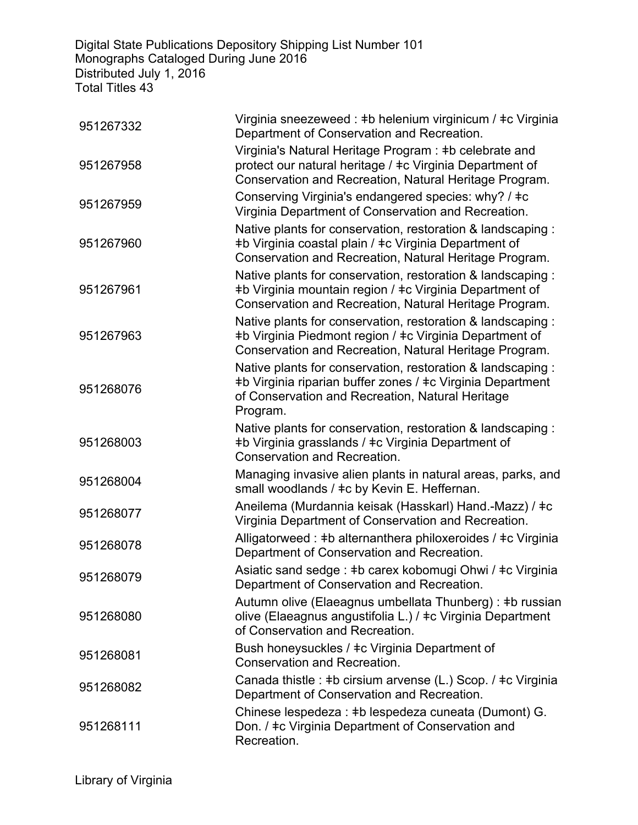Digital State Publications Depository Shipping List Number 101 Monographs Cataloged During June 2016 Distributed July 1, 2016 Total Titles 43

| 951267332 | Virginia sneezeweed : ‡b helenium virginicum / ‡c Virginia<br>Department of Conservation and Recreation.                                                                                  |
|-----------|-------------------------------------------------------------------------------------------------------------------------------------------------------------------------------------------|
| 951267958 | Virginia's Natural Heritage Program: #b celebrate and<br>protect our natural heritage / ‡c Virginia Department of<br>Conservation and Recreation, Natural Heritage Program.               |
| 951267959 | Conserving Virginia's endangered species: why? / ‡c<br>Virginia Department of Conservation and Recreation.                                                                                |
| 951267960 | Native plants for conservation, restoration & landscaping :<br>#b Virginia coastal plain / #c Virginia Department of<br>Conservation and Recreation, Natural Heritage Program.            |
| 951267961 | Native plants for conservation, restoration & landscaping :<br>#b Virginia mountain region / #c Virginia Department of<br>Conservation and Recreation, Natural Heritage Program.          |
| 951267963 | Native plants for conservation, restoration & landscaping:<br>#b Virginia Piedmont region / #c Virginia Department of<br>Conservation and Recreation, Natural Heritage Program.           |
| 951268076 | Native plants for conservation, restoration & landscaping :<br>#b Virginia riparian buffer zones / #c Virginia Department<br>of Conservation and Recreation, Natural Heritage<br>Program. |
| 951268003 | Native plants for conservation, restoration & landscaping:<br>#b Virginia grasslands / #c Virginia Department of<br>Conservation and Recreation.                                          |
| 951268004 | Managing invasive alien plants in natural areas, parks, and<br>small woodlands / ‡c by Kevin E. Heffernan.                                                                                |
| 951268077 | Aneilema (Murdannia keisak (Hasskarl) Hand.-Mazz) / ‡c<br>Virginia Department of Conservation and Recreation.                                                                             |
| 951268078 | Alligatorweed : #b alternanthera philoxeroides / #c Virginia<br>Department of Conservation and Recreation.                                                                                |
| 951268079 | Asiatic sand sedge : #b carex kobomugi Ohwi / #c Virginia<br>Department of Conservation and Recreation.                                                                                   |
| 951268080 | Autumn olive (Elaeagnus umbellata Thunberg) : #b russian<br>olive (Elaeagnus angustifolia L.) / ‡c Virginia Department<br>of Conservation and Recreation.                                 |
| 951268081 | Bush honeysuckles / ‡c Virginia Department of<br>Conservation and Recreation.                                                                                                             |
| 951268082 | Canada thistle : #b cirsium arvense (L.) Scop. / #c Virginia<br>Department of Conservation and Recreation.                                                                                |
| 951268111 | Chinese lespedeza : #b lespedeza cuneata (Dumont) G.<br>Don. / ‡c Virginia Department of Conservation and<br>Recreation.                                                                  |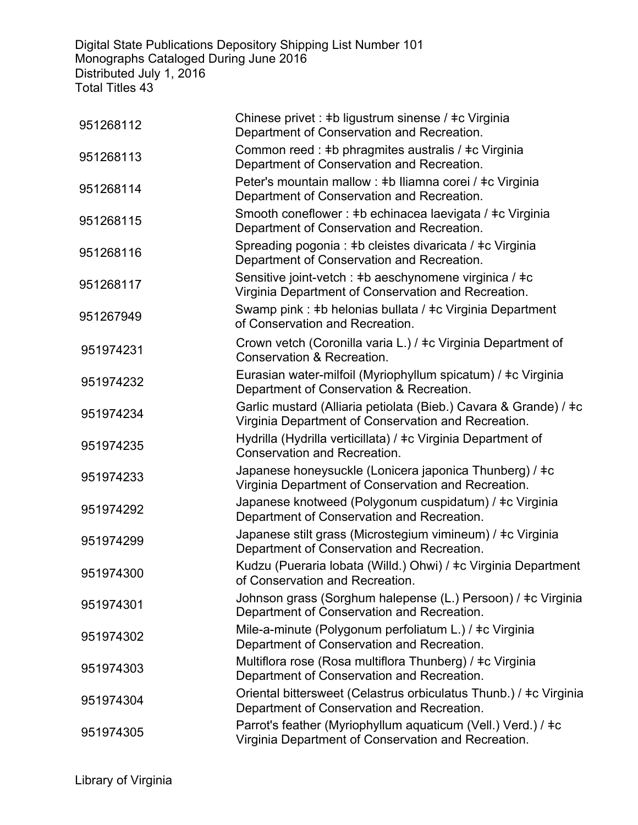Digital State Publications Depository Shipping List Number 101 Monographs Cataloged During June 2016 Distributed July 1, 2016 Total Titles 43

| 951268112 | Chinese privet : #b ligustrum sinense / #c Virginia<br>Department of Conservation and Recreation.                       |
|-----------|-------------------------------------------------------------------------------------------------------------------------|
| 951268113 | Common reed : #b phragmites australis / #c Virginia<br>Department of Conservation and Recreation.                       |
| 951268114 | Peter's mountain mallow : #b Iliamna corei / #c Virginia<br>Department of Conservation and Recreation.                  |
| 951268115 | Smooth coneflower : #b echinacea laevigata / #c Virginia<br>Department of Conservation and Recreation.                  |
| 951268116 | Spreading pogonia : #b cleistes divaricata / #c Virginia<br>Department of Conservation and Recreation.                  |
| 951268117 | Sensitive joint-vetch : #b aeschynomene virginica / #c<br>Virginia Department of Conservation and Recreation.           |
| 951267949 | Swamp pink : #b helonias bullata / #c Virginia Department<br>of Conservation and Recreation.                            |
| 951974231 | Crown vetch (Coronilla varia L.) / ‡c Virginia Department of<br>Conservation & Recreation.                              |
| 951974232 | Eurasian water-milfoil (Myriophyllum spicatum) / ‡c Virginia<br>Department of Conservation & Recreation.                |
| 951974234 | Garlic mustard (Alliaria petiolata (Bieb.) Cavara & Grande) / ‡c<br>Virginia Department of Conservation and Recreation. |
| 951974235 | Hydrilla (Hydrilla verticillata) / ‡c Virginia Department of<br>Conservation and Recreation.                            |
| 951974233 | Japanese honeysuckle (Lonicera japonica Thunberg) / ‡c<br>Virginia Department of Conservation and Recreation.           |
| 951974292 | Japanese knotweed (Polygonum cuspidatum) / ‡c Virginia<br>Department of Conservation and Recreation.                    |
| 951974299 | Japanese stilt grass (Microstegium vimineum) / ‡c Virginia<br>Department of Conservation and Recreation.                |
| 951974300 | Kudzu (Pueraria lobata (Willd.) Ohwi) / ‡c Virginia Department<br>of Conservation and Recreation.                       |
| 951974301 | Johnson grass (Sorghum halepense (L.) Persoon) / ‡c Virginia<br>Department of Conservation and Recreation.              |
| 951974302 | Mile-a-minute (Polygonum perfoliatum L.) / ‡c Virginia<br>Department of Conservation and Recreation.                    |
| 951974303 | Multiflora rose (Rosa multiflora Thunberg) / ‡c Virginia<br>Department of Conservation and Recreation.                  |
| 951974304 | Oriental bittersweet (Celastrus orbiculatus Thunb.) / ‡c Virginia<br>Department of Conservation and Recreation.         |
| 951974305 | Parrot's feather (Myriophyllum aquaticum (Vell.) Verd.) / ‡c<br>Virginia Department of Conservation and Recreation.     |